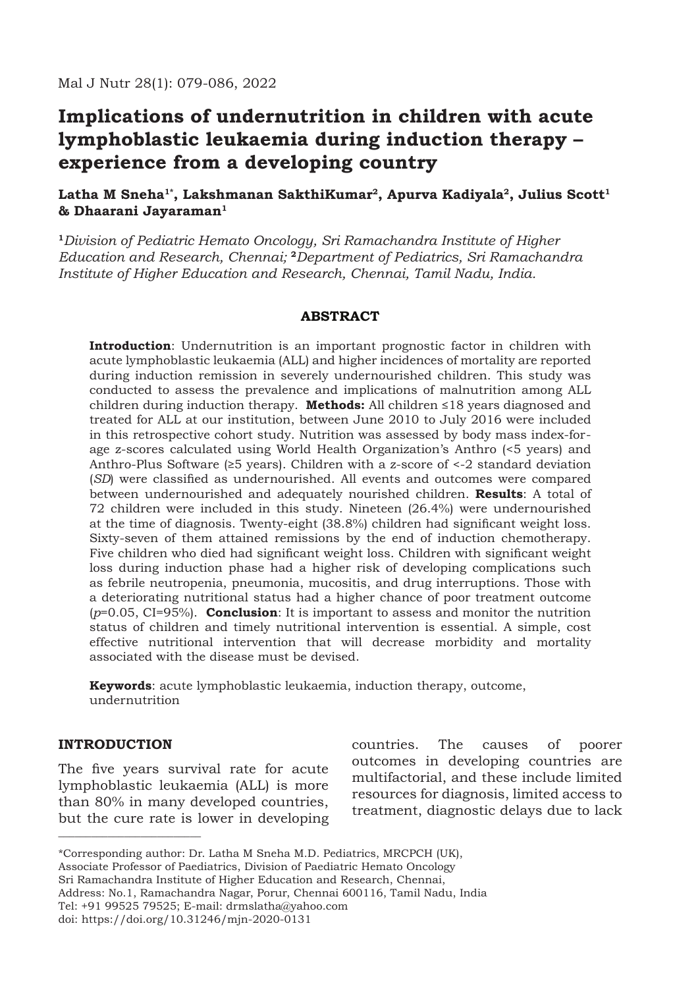# **Implications of undernutrition in children with acute lymphoblastic leukaemia during induction therapy – experience from a developing country**

# Latha M Sneha<sup>1\*</sup>, Lakshmanan SakthiKumar<sup>2</sup>, Apurva Kadiyala<sup>2</sup>, Julius Scott<sup>1</sup> **& Dhaarani Jayaraman1**

**<sup>1</sup>***Division of Pediatric Hemato Oncology, Sri Ramachandra Institute of Higher Education and Research, Chennai;* **<sup>2</sup>***Department of Pediatrics, Sri Ramachandra Institute of Higher Education and Research, Chennai, Tamil Nadu, India.*

## **ABSTRACT**

**Introduction**: Undernutrition is an important prognostic factor in children with acute lymphoblastic leukaemia (ALL) and higher incidences of mortality are reported during induction remission in severely undernourished children. This study was conducted to assess the prevalence and implications of malnutrition among ALL children during induction therapy. **Methods:** All children ≤18 years diagnosed and treated for ALL at our institution, between June 2010 to July 2016 were included in this retrospective cohort study. Nutrition was assessed by body mass index-forage z-scores calculated using World Health Organization's Anthro (<5 years) and Anthro-Plus Software ( $\geq 5$  years). Children with a z-score of <-2 standard deviation (*SD*) were classified as undernourished. All events and outcomes were compared between undernourished and adequately nourished children. **Results**: A total of 72 children were included in this study. Nineteen (26.4%) were undernourished at the time of diagnosis. Twenty-eight (38.8%) children had significant weight loss. Sixty-seven of them attained remissions by the end of induction chemotherapy. Five children who died had significant weight loss. Children with significant weight loss during induction phase had a higher risk of developing complications such as febrile neutropenia, pneumonia, mucositis, and drug interruptions. Those with a deteriorating nutritional status had a higher chance of poor treatment outcome (*p*=0.05, CI=95%). **Conclusion**: It is important to assess and monitor the nutrition status of children and timely nutritional intervention is essential. A simple, cost effective nutritional intervention that will decrease morbidity and mortality associated with the disease must be devised.

**Keywords**: acute lymphoblastic leukaemia, induction therapy, outcome, undernutrition

### **INTRODUCTION**

\_\_\_\_\_\_\_\_\_\_\_\_\_\_\_\_\_\_\_\_\_\_\_\_\_\_

The five years survival rate for acute lymphoblastic leukaemia (ALL) is more than 80% in many developed countries, but the cure rate is lower in developing countries. The causes of poorer outcomes in developing countries are multifactorial, and these include limited resources for diagnosis, limited access to treatment, diagnostic delays due to lack

Associate Professor of Paediatrics, Division of Paediatric Hemato Oncology

Sri Ramachandra Institute of Higher Education and Research, Chennai,

Address: No.1, Ramachandra Nagar, Porur, Chennai 600116, Tamil Nadu, India Tel: +91 99525 79525; E-mail: drmslatha@yahoo.com

<sup>\*</sup>Corresponding author: Dr. Latha M Sneha M.D. Pediatrics, MRCPCH (UK),

doi: https://doi.org/10.31246/mjn-2020-0131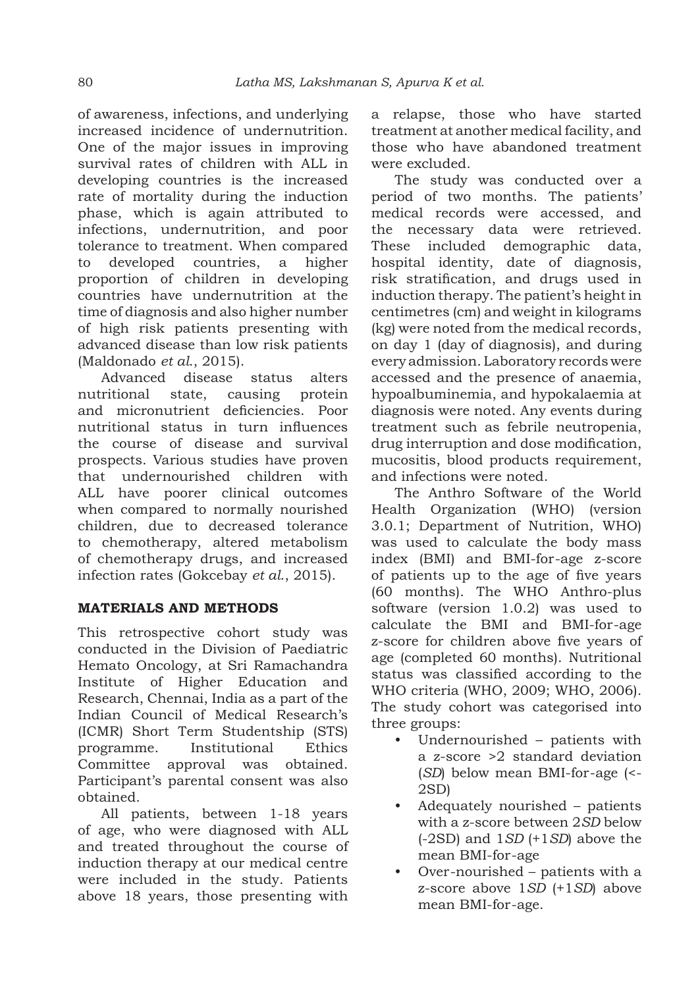of awareness, infections, and underlying increased incidence of undernutrition. One of the major issues in improving survival rates of children with ALL in developing countries is the increased rate of mortality during the induction phase, which is again attributed to infections, undernutrition, and poor tolerance to treatment. When compared to developed countries, a higher proportion of children in developing countries have undernutrition at the time of diagnosis and also higher number of high risk patients presenting with advanced disease than low risk patients (Maldonado *et al*., 2015).

Advanced disease status alters nutritional state, causing protein and micronutrient deficiencies. Poor nutritional status in turn influences the course of disease and survival prospects. Various studies have proven that undernourished children with ALL have poorer clinical outcomes when compared to normally nourished children, due to decreased tolerance to chemotherapy, altered metabolism of chemotherapy drugs, and increased infection rates (Gokcebay *et al*., 2015).

### **MATERIALS AND METHODS**

This retrospective cohort study was conducted in the Division of Paediatric Hemato Oncology, at Sri Ramachandra Institute of Higher Education and Research, Chennai, India as a part of the Indian Council of Medical Research's (ICMR) Short Term Studentship (STS) programme. Institutional Ethics Committee approval was obtained. Participant's parental consent was also obtained.

All patients, between 1-18 years of age, who were diagnosed with ALL and treated throughout the course of induction therapy at our medical centre were included in the study. Patients above 18 years, those presenting with a relapse, those who have started treatment at another medical facility, and those who have abandoned treatment were excluded.

The study was conducted over a period of two months. The patients' medical records were accessed, and the necessary data were retrieved. These included demographic data, hospital identity, date of diagnosis, risk stratification, and drugs used in induction therapy. The patient's height in centimetres (cm) and weight in kilograms (kg) were noted from the medical records, on day 1 (day of diagnosis), and during every admission. Laboratory records were accessed and the presence of anaemia, hypoalbuminemia, and hypokalaemia at diagnosis were noted. Any events during treatment such as febrile neutropenia, drug interruption and dose modification, mucositis, blood products requirement, and infections were noted.

The Anthro Software of the World Health Organization (WHO) (version 3.0.1; Department of Nutrition, WHO) was used to calculate the body mass index (BMI) and BMI-for-age z-score of patients up to the age of five years (60 months). The WHO Anthro-plus software (version 1.0.2) was used to calculate the BMI and BMI-for-age z-score for children above five years of age (completed 60 months). Nutritional status was classified according to the WHO criteria (WHO, 2009; WHO, 2006). The study cohort was categorised into three groups:

- Undernourished patients with a z-score >2 standard deviation (*SD*) below mean BMI-for-age (<- 2SD)
- Adequately nourished patients with a z-score between 2*SD* below (-2SD) and 1*SD* (+1*SD*) above the mean BMI-for-age
- Over-nourished patients with a z-score above 1*SD* (+1*SD*) above mean BMI-for-age.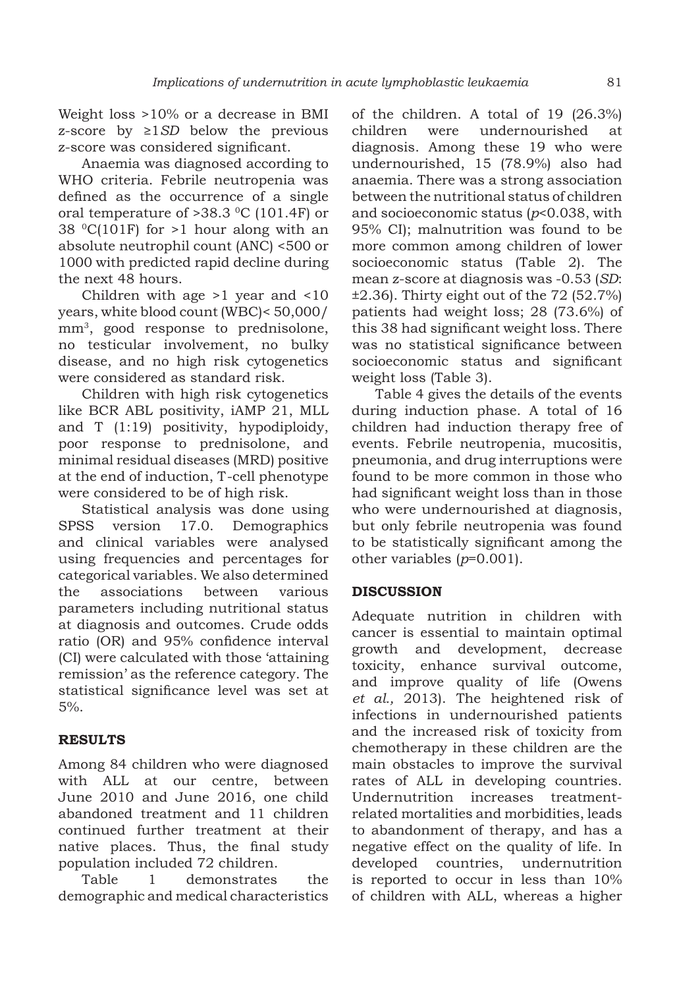Weight loss >10% or a decrease in BMI z-score by ≥1*SD* below the previous z-score was considered significant.

Anaemia was diagnosed according to WHO criteria. Febrile neutropenia was defined as the occurrence of a single oral temperature of  $>38.3$  °C (101.4F) or 38  $^{\circ}$ C(101F) for >1 hour along with an absolute neutrophil count (ANC) <500 or 1000 with predicted rapid decline during the next 48 hours.

Children with age >1 year and <10 years, white blood count (WBC)< 50,000/ mm3, good response to prednisolone, no testicular involvement, no bulky disease, and no high risk cytogenetics were considered as standard risk.

Children with high risk cytogenetics like BCR ABL positivity, iAMP 21, MLL and T (1:19) positivity, hypodiploidy, poor response to prednisolone, and minimal residual diseases (MRD) positive at the end of induction, T-cell phenotype were considered to be of high risk.

Statistical analysis was done using SPSS version 17.0. Demographics and clinical variables were analysed using frequencies and percentages for categorical variables. We also determined the associations between various parameters including nutritional status at diagnosis and outcomes. Crude odds ratio (OR) and 95% confidence interval (CI) were calculated with those 'attaining remission' as the reference category. The statistical significance level was set at 5%.

# **RESULTS**

Among 84 children who were diagnosed with ALL at our centre, between June 2010 and June 2016, one child abandoned treatment and 11 children continued further treatment at their native places. Thus, the final study population included 72 children.

Table 1 demonstrates the demographic and medical characteristics

of the children. A total of 19 (26.3%) children were undernourished at diagnosis. Among these 19 who were undernourished, 15 (78.9%) also had anaemia. There was a strong association between the nutritional status of children and socioeconomic status (*p*<0.038, with 95% CI); malnutrition was found to be more common among children of lower socioeconomic status (Table 2). The mean z-score at diagnosis was -0.53 (*SD*:  $\pm 2.36$ ). Thirty eight out of the 72 (52.7%) patients had weight loss; 28 (73.6%) of this 38 had significant weight loss. There was no statistical significance between socioeconomic status and significant weight loss (Table 3).

Table 4 gives the details of the events during induction phase. A total of 16 children had induction therapy free of events. Febrile neutropenia, mucositis, pneumonia, and drug interruptions were found to be more common in those who had significant weight loss than in those who were undernourished at diagnosis, but only febrile neutropenia was found to be statistically significant among the other variables (*p*=0.001).

# **DISCUSSION**

Adequate nutrition in children with cancer is essential to maintain optimal growth and development, decrease toxicity, enhance survival outcome, and improve quality of life (Owens *et al.,* 2013). The heightened risk of infections in undernourished patients and the increased risk of toxicity from chemotherapy in these children are the main obstacles to improve the survival rates of ALL in developing countries. Undernutrition increases treatmentrelated mortalities and morbidities, leads to abandonment of therapy, and has a negative effect on the quality of life. In developed countries, undernutrition is reported to occur in less than 10% of children with ALL, whereas a higher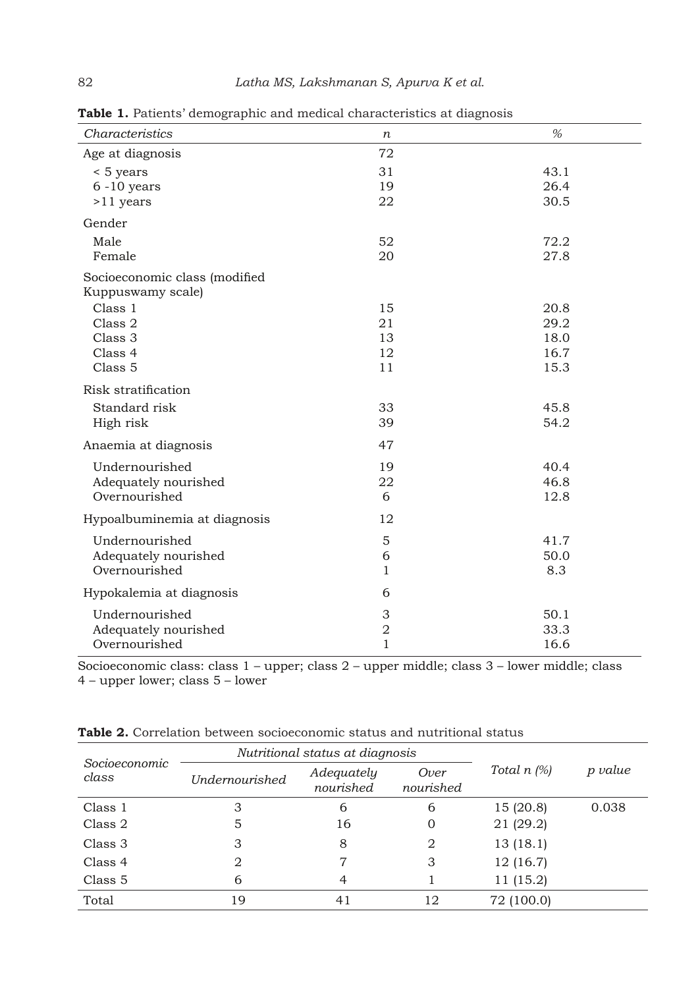| Characteristics                                    | п              | %    |
|----------------------------------------------------|----------------|------|
| Age at diagnosis                                   | 72             |      |
| < 5 years                                          | 31             | 43.1 |
| $6 - 10$ years                                     | 19             | 26.4 |
| $>11$ years                                        | 22             | 30.5 |
| Gender                                             |                |      |
| Male                                               | 52             | 72.2 |
| Female                                             | 20             | 27.8 |
| Socioeconomic class (modified<br>Kuppuswamy scale) |                |      |
| Class 1                                            | 15             | 20.8 |
| Class 2                                            | 21             | 29.2 |
| Class 3                                            | 13             | 18.0 |
| Class 4                                            | 12             | 16.7 |
| Class <sub>5</sub>                                 | 11             | 15.3 |
| Risk stratification                                |                |      |
| Standard risk                                      | 33             | 45.8 |
| High risk                                          | 39             | 54.2 |
| Anaemia at diagnosis                               | 47             |      |
| Undernourished                                     | 19             | 40.4 |
| Adequately nourished                               | 22             | 46.8 |
| Overnourished                                      | 6              | 12.8 |
| Hypoalbuminemia at diagnosis                       | 12             |      |
| Undernourished                                     | 5              | 41.7 |
| Adequately nourished                               | 6              | 50.0 |
| Overnourished                                      | $\mathbf{1}$   | 8.3  |
| Hypokalemia at diagnosis                           | 6              |      |
| Undernourished                                     | 3              | 50.1 |
| Adequately nourished                               | $\overline{2}$ | 33.3 |
| Overnourished                                      | $\mathbf{1}$   | 16.6 |

**Table 1.** Patients' demographic and medical characteristics at diagnosis

Socioeconomic class: class 1 – upper; class 2 – upper middle; class 3 – lower middle; class 4 – upper lower; class 5 – lower

| Socioeconomic | Nutritional status at diagnosis |                         |                   |               |         |
|---------------|---------------------------------|-------------------------|-------------------|---------------|---------|
| class         | <b>Undernourished</b>           | Adequately<br>nourished | Over<br>nourished | Total $n$ (%) | p value |
| Class 1       | 3                               | 6                       | 6                 | 15(20.8)      | 0.038   |
| Class 2       | 5                               | 16                      | 0                 | 21 (29.2)     |         |
| Class 3       | 3                               | 8                       | 2                 | 13(18.1)      |         |
| Class 4       | 2                               | 7                       | 3                 | 12(16.7)      |         |
| Class 5       | 6                               | 4                       |                   | 11 (15.2)     |         |
| Total         | 19                              | 41                      | 12                | 72 (100.0)    |         |

**Table 2.** Correlation between socioeconomic status and nutritional status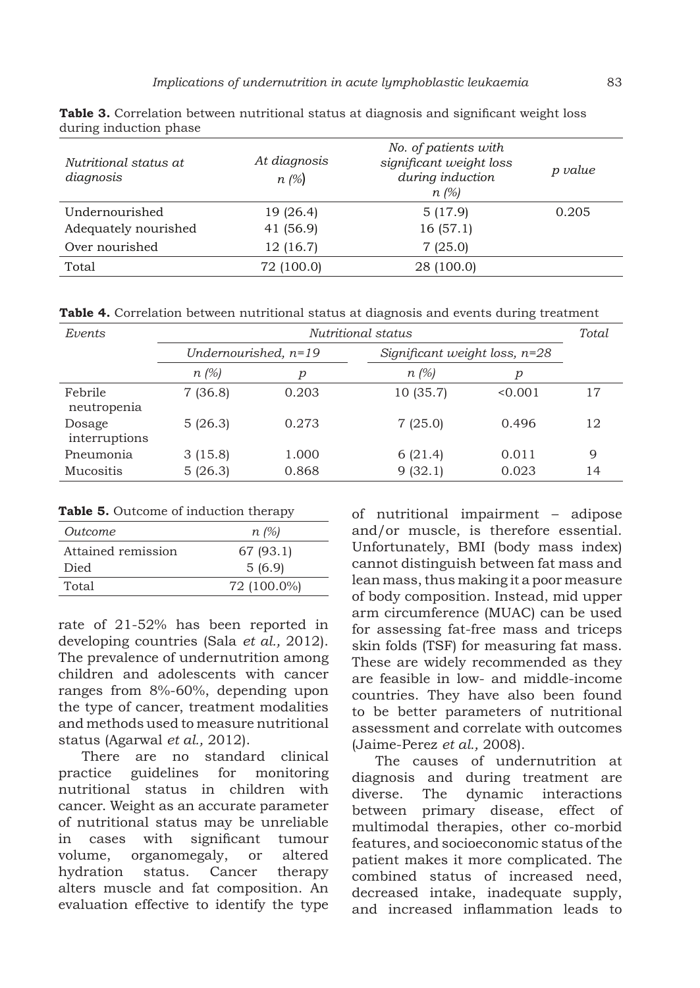| Nutritional status at<br>diagnosis | At diagnosis<br>$n \approx$ | No. of patients with<br>significant weight loss<br>during induction<br>$n \approx$ (%) | p value |
|------------------------------------|-----------------------------|----------------------------------------------------------------------------------------|---------|
| Undernourished                     | 19 (26.4)                   | 5(17.9)                                                                                | 0.205   |
| Adequately nourished               | 41 (56.9)                   | 16(57.1)                                                                               |         |
| Over nourished                     | 12 (16.7)                   | 7(25.0)                                                                                |         |
| Total                              | 72 (100.0)                  | 28 (100.0)                                                                             |         |

**Table 3.** Correlation between nutritional status at diagnosis and significant weight loss during induction phase

**Table 4.** Correlation between nutritional status at diagnosis and events during treatment

| Events                  | Nutritional status     |       |                 | Total                           |    |
|-------------------------|------------------------|-------|-----------------|---------------------------------|----|
|                         | Undernourished, $n=19$ |       |                 | Significant weight loss, $n=28$ |    |
|                         | $n \approx 1\%$        | р     | $n \approx$ (%) | р                               |    |
| Febrile<br>neutropenia  | 7(36.8)                | 0.203 | 10 (35.7)       | < 0.001                         | 17 |
| Dosage<br>interruptions | 5(26.3)                | 0.273 | 7(25.0)         | 0.496                           | 12 |
| Pneumonia               | 3(15.8)                | 1.000 | 6(21.4)         | 0.011                           | 9  |
| Mucositis               | 5(26.3)                | 0.868 | 9(32.1)         | 0.023                           | 14 |

**Table 5.** Outcome of induction therapy

| Outcome            | $n \ (\%)$  |
|--------------------|-------------|
| Attained remission | 67 (93.1)   |
| Died               | 5(6.9)      |
| Total              | 72 (100.0%) |

rate of 21-52% has been reported in developing countries (Sala *et al.,* 2012). The prevalence of undernutrition among children and adolescents with cancer ranges from 8%-60%, depending upon the type of cancer, treatment modalities and methods used to measure nutritional status (Agarwal *et al.,* 2012).

There are no standard clinical practice guidelines for monitoring nutritional status in children with cancer. Weight as an accurate parameter of nutritional status may be unreliable in cases with significant tumour volume, organomegaly, or altered hydration status. Cancer therapy alters muscle and fat composition. An evaluation effective to identify the type

of nutritional impairment – adipose and/or muscle, is therefore essential. Unfortunately, BMI (body mass index) cannot distinguish between fat mass and lean mass, thus making it a poor measure of body composition. Instead, mid upper arm circumference (MUAC) can be used for assessing fat-free mass and triceps skin folds (TSF) for measuring fat mass. These are widely recommended as they are feasible in low- and middle-income countries. They have also been found to be better parameters of nutritional assessment and correlate with outcomes (Jaime-Perez *et al.,* 2008).

The causes of undernutrition at diagnosis and during treatment are diverse. The dynamic interactions between primary disease, effect of multimodal therapies, other co-morbid features, and socioeconomic status of the patient makes it more complicated. The combined status of increased need, decreased intake, inadequate supply, and increased inflammation leads to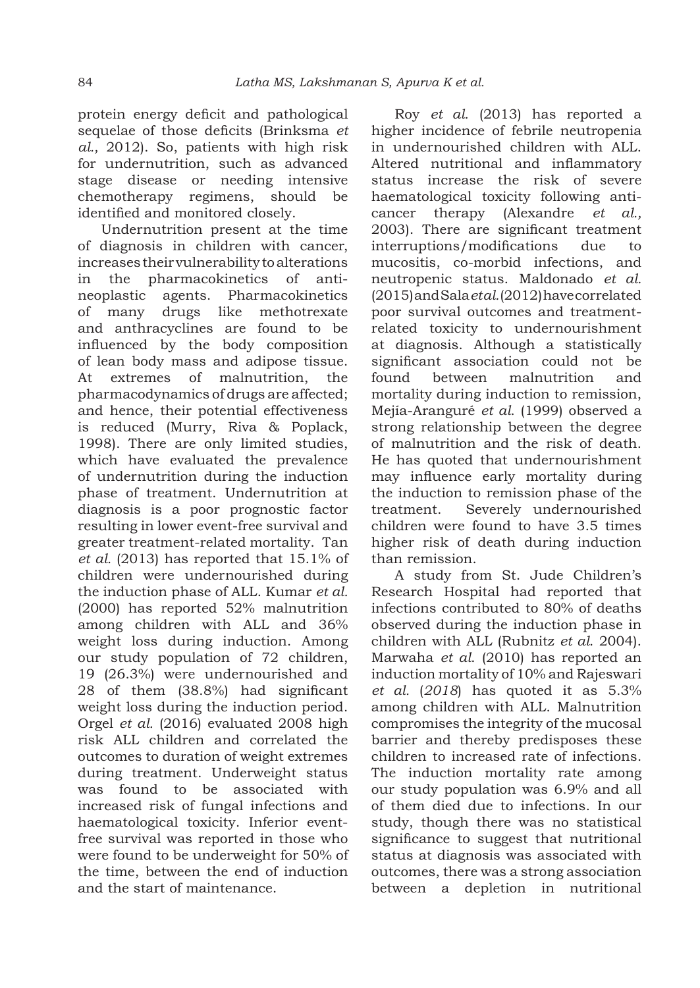protein energy deficit and pathological sequelae of those deficits (Brinksma *et al.,* 2012). So, patients with high risk for undernutrition, such as advanced stage disease or needing intensive chemotherapy regimens, should be identified and monitored closely.

Undernutrition present at the time of diagnosis in children with cancer, increases their vulnerability to alterations in the pharmacokinetics of antineoplastic agents. Pharmacokinetics of many drugs like methotrexate and anthracyclines are found to be influenced by the body composition of lean body mass and adipose tissue. At extremes of malnutrition, the pharmacodynamics of drugs are affected; and hence, their potential effectiveness is reduced (Murry, Riva & Poplack, 1998). There are only limited studies, which have evaluated the prevalence of undernutrition during the induction phase of treatment. Undernutrition at diagnosis is a poor prognostic factor resulting in lower event-free survival and greater treatment-related mortality. Tan *et al.* (2013) has reported that 15.1% of children were undernourished during the induction phase of ALL. Kumar *et al.* (2000) has reported 52% malnutrition among children with ALL and 36% weight loss during induction. Among our study population of 72 children, 19 (26.3%) were undernourished and 28 of them (38.8%) had significant weight loss during the induction period. Orgel *et al.* (2016) evaluated 2008 high risk ALL children and correlated the outcomes to duration of weight extremes during treatment. Underweight status was found to be associated with increased risk of fungal infections and haematological toxicity. Inferior eventfree survival was reported in those who were found to be underweight for 50% of the time, between the end of induction and the start of maintenance.

Roy *et al.* (2013) has reported a higher incidence of febrile neutropenia in undernourished children with ALL. Altered nutritional and inflammatory status increase the risk of severe haematological toxicity following anticancer therapy (Alexandre *et al.,*  2003). There are significant treatment interruptions/modifications due to mucositis, co-morbid infections, and neutropenic status. Maldonado *et al.*  (2015) and Sala *et al.* (2012) have correlated poor survival outcomes and treatmentrelated toxicity to undernourishment at diagnosis. Although a statistically significant association could not be found between malnutrition and mortality during induction to remission, Mejía-Aranguré *et al*. (1999) observed a strong relationship between the degree of malnutrition and the risk of death. He has quoted that undernourishment may influence early mortality during the induction to remission phase of the treatment. Severely undernourished children were found to have 3.5 times higher risk of death during induction than remission.

A study from St. Jude Children's Research Hospital had reported that infections contributed to 80% of deaths observed during the induction phase in children with ALL (Rubnitz *et al*. 2004). Marwaha *et al*. (2010) has reported an induction mortality of 10% and Rajeswari *et al.* (*2018*) has quoted it as 5.3% among children with ALL. Malnutrition compromises the integrity of the mucosal barrier and thereby predisposes these children to increased rate of infections. The induction mortality rate among our study population was 6.9% and all of them died due to infections. In our study, though there was no statistical significance to suggest that nutritional status at diagnosis was associated with outcomes, there was a strong association between a depletion in nutritional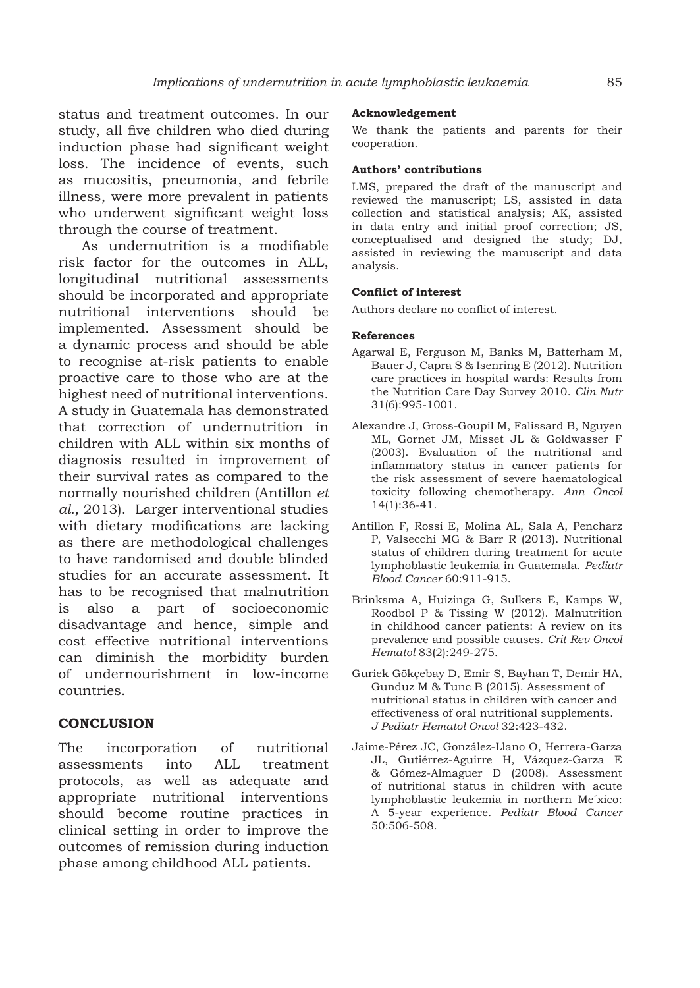status and treatment outcomes. In our study, all five children who died during induction phase had significant weight loss. The incidence of events, such as mucositis, pneumonia, and febrile illness, were more prevalent in patients who underwent significant weight loss through the course of treatment.

As undernutrition is a modifiable risk factor for the outcomes in ALL, longitudinal nutritional assessments should be incorporated and appropriate nutritional interventions should be implemented. Assessment should be a dynamic process and should be able to recognise at-risk patients to enable proactive care to those who are at the highest need of nutritional interventions. A study in Guatemala has demonstrated that correction of undernutrition in children with ALL within six months of diagnosis resulted in improvement of their survival rates as compared to the normally nourished children (Antillon *et al.,* 2013). Larger interventional studies with dietary modifications are lacking as there are methodological challenges to have randomised and double blinded studies for an accurate assessment. It has to be recognised that malnutrition is also a part of socioeconomic disadvantage and hence, simple and cost effective nutritional interventions can diminish the morbidity burden of undernourishment in low-income countries.

### **CONCLUSION**

The incorporation of nutritional assessments into ALL treatment protocols, as well as adequate and appropriate nutritional interventions should become routine practices in clinical setting in order to improve the outcomes of remission during induction phase among childhood ALL patients.

#### **Acknowledgement**

We thank the patients and parents for their cooperation.

### **Authors' contributions**

LMS, prepared the draft of the manuscript and reviewed the manuscript; LS, assisted in data collection and statistical analysis; AK, assisted in data entry and initial proof correction; JS, conceptualised and designed the study; DJ, assisted in reviewing the manuscript and data analysis.

#### **Conflict of interest**

Authors declare no conflict of interest.

#### **References**

- Agarwal E, Ferguson M, Banks M, Batterham M, Bauer J, Capra S & Isenring E (2012). Nutrition care practices in hospital wards: Results from the Nutrition Care Day Survey 2010. *Clin Nutr* 31(6):995-1001.
- Alexandre J, Gross-Goupil M, Falissard B, Nguyen ML*,* Gornet JM, Misset JL & Goldwasser F (2003). Evaluation of the nutritional and inflammatory status in cancer patients for the risk assessment of severe haematological toxicity following chemotherapy. *Ann Oncol* 14(1):36-41.
- Antillon F, Rossi E, Molina AL, Sala A, Pencharz P, Valsecchi MG & Barr R (2013). Nutritional status of children during treatment for acute lymphoblastic leukemia in Guatemala. *Pediatr Blood Cancer* 60:911-915.
- Brinksma A, Huizinga G, Sulkers E, Kamps W, Roodbol P & Tissing W (2012). Malnutrition in childhood cancer patients: A review on its prevalence and possible causes. *Crit Rev Oncol Hematol* 83(2):249-275.
- Guriek Gökçebay D, Emir S, Bayhan T, Demir HA, Gunduz M & Tunc B (2015). Assessment of nutritional status in children with cancer and effectiveness of oral nutritional supplements. *J Pediatr Hematol Oncol* 32:423-432.
- Jaime-Pérez JC, González-Llano O, Herrera-Garza JL, Gutiérrez-Aguirre H*,* Vázquez-Garza E & Gómez-Almaguer D (2008). Assessment of nutritional status in children with acute lymphoblastic leukemia in northern Me´xico: A 5-year experience. *Pediatr Blood Cancer* 50:506-508.